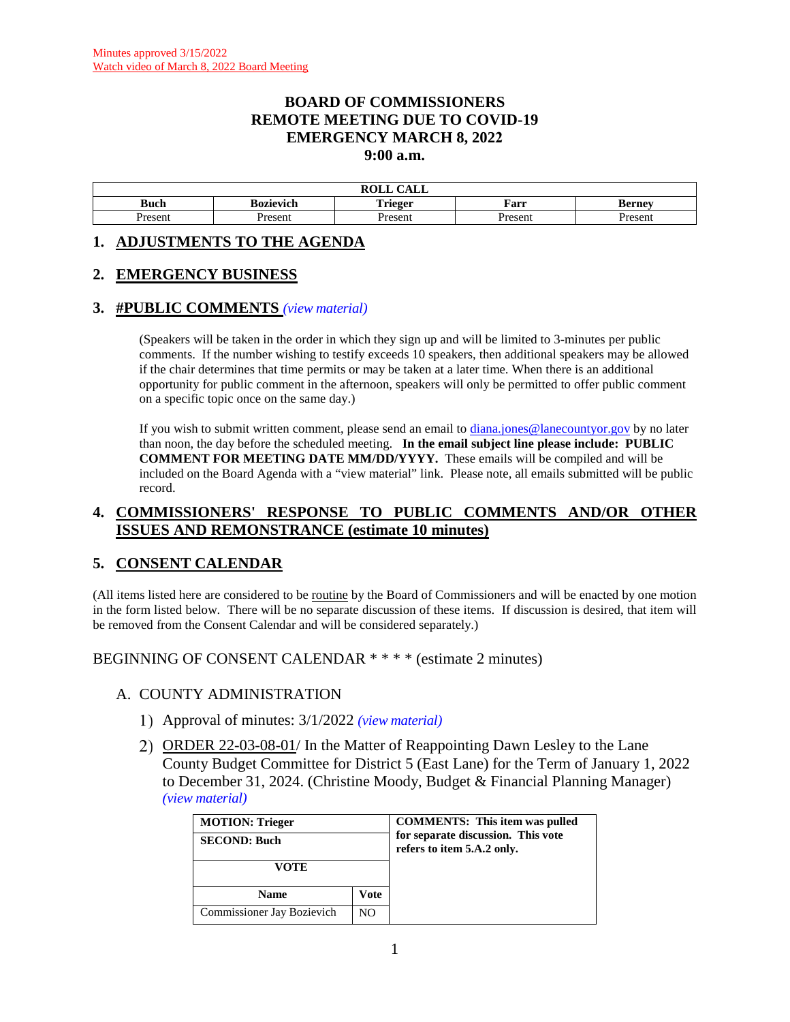### **BOARD OF COMMISSIONERS REMOTE MEETING DUE TO COVID-19 EMERGENCY MARCH 8, 2022 9:00 a.m.**

|               |           | $\bigcap$ $\bigcap$ $\bigcap$<br><b>ROLL</b><br><u>Calil</u> |         |         |
|---------------|-----------|--------------------------------------------------------------|---------|---------|
| Buch          | Bozievich | Trieger                                                      | Farr    | sernev  |
| <i>resent</i> | Present   | Presen                                                       | Present | Present |

#### **1. ADJUSTMENTS TO THE AGENDA**

### **2. EMERGENCY BUSINESS**

#### **3. #PUBLIC COMMENTS** *(view [material\)](http://www.lanecountyor.gov/UserFiles/Servers/Server_3585797/File/Government/BCC/2022/2022_AGENDAS/030822agenda/T.3.pdf)*

(Speakers will be taken in the order in which they sign up and will be limited to 3-minutes per public comments. If the number wishing to testify exceeds 10 speakers, then additional speakers may be allowed if the chair determines that time permits or may be taken at a later time. When there is an additional opportunity for public comment in the afternoon, speakers will only be permitted to offer public comment on a specific topic once on the same day.)

If you wish to submit written comment, please send an email to [diana.jones@lanecountyor.gov](mailto:diana.jones@lanecountyor.gov) by no later than noon, the day before the scheduled meeting. **In the email subject line please include: PUBLIC COMMENT FOR MEETING DATE MM/DD/YYYY.** These emails will be compiled and will be included on the Board Agenda with a "view material" link. Please note, all emails submitted will be public record.

### **4. COMMISSIONERS' RESPONSE TO PUBLIC COMMENTS AND/OR OTHER ISSUES AND REMONSTRANCE (estimate 10 minutes)**

## **5. CONSENT CALENDAR**

(All items listed here are considered to be routine by the Board of Commissioners and will be enacted by one motion in the form listed below. There will be no separate discussion of these items. If discussion is desired, that item will be removed from the Consent Calendar and will be considered separately.)

#### BEGINNING OF CONSENT CALENDAR \* \* \* \* (estimate 2 minutes)

#### A. COUNTY ADMINISTRATION

- Approval of minutes: 3/1/2022 *(view [material\)](http://www.lanecountyor.gov/UserFiles/Servers/Server_3585797/File/Government/BCC/2022/2022_AGENDAS/030822agenda/T.5.A.1.pdf)*
- ORDER 22-03-08-01/ In the Matter of Reappointing Dawn Lesley to the Lane County Budget Committee for District 5 (East Lane) for the Term of January 1, 2022 to December 31, 2024. (Christine Moody, Budget & Financial Planning Manager) *(view [material\)](http://www.lanecountyor.gov/UserFiles/Servers/Server_3585797/File/Government/BCC/2022/2022_AGENDAS/030822agenda/T.5.A.2.pdf)*

| <b>MOTION: Trieger</b><br><b>SECOND: Buch</b> |      | <b>COMMENTS:</b> This item was pulled<br>for separate discussion. This vote<br>refers to item 5.A.2 only. |
|-----------------------------------------------|------|-----------------------------------------------------------------------------------------------------------|
| VOTE                                          |      |                                                                                                           |
| <b>Name</b>                                   | Vote |                                                                                                           |
| Commissioner Jay Bozievich                    | NO.  |                                                                                                           |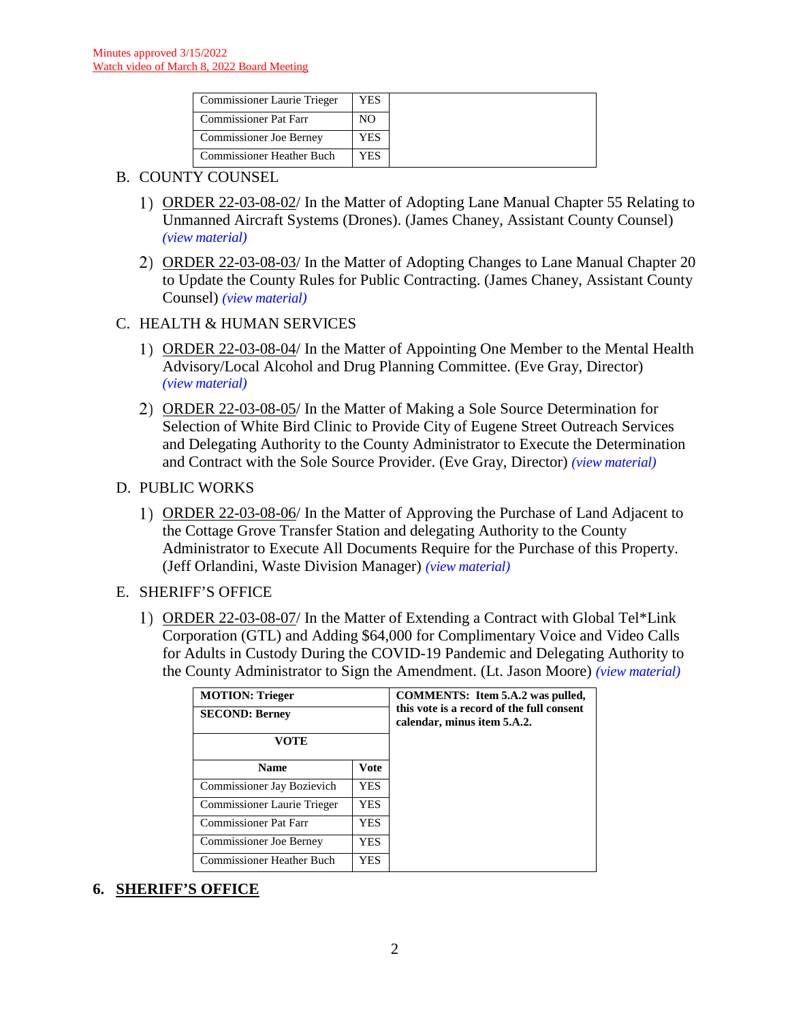| <b>Commissioner Laurie Trieger</b> | YES  |
|------------------------------------|------|
| <b>Commissioner Pat Farr</b>       | NΟ   |
| Commissioner Joe Berney            | YES  |
| <b>Commissioner Heather Buch</b>   | ⁄ ES |

### B. COUNTY COUNSEL

- ORDER 22-03-08-02/ In the Matter of Adopting Lane Manual Chapter 55 Relating to Unmanned Aircraft Systems (Drones). (James Chaney, Assistant County Counsel) *(view [material\)](http://www.lanecountyor.gov/UserFiles/Servers/Server_3585797/File/Government/BCC/2022/2022_AGENDAS/030822agenda/T.5.B.1.pdf)*
- ORDER 22-03-08-03/ In the Matter of Adopting Changes to Lane Manual Chapter 20 to Update the County Rules for Public Contracting. (James Chaney, Assistant County Counsel) *(view [material\)](http://www.lanecountyor.gov/UserFiles/Servers/Server_3585797/File/Government/BCC/2022/2022_AGENDAS/030822agenda/T.5.B.2.pdf)*

## C. HEALTH & HUMAN SERVICES

- ORDER 22-03-08-04/ In the Matter of Appointing One Member to the Mental Health Advisory/Local Alcohol and Drug Planning Committee. (Eve Gray, Director) *(view [material\)](http://www.lanecountyor.gov/UserFiles/Servers/Server_3585797/File/Government/BCC/2022/2022_AGENDAS/030822agenda/T.5.C.1.pdf)*
- ORDER 22-03-08-05/ In the Matter of Making a Sole Source Determination for Selection of White Bird Clinic to Provide City of Eugene Street Outreach Services and Delegating Authority to the County Administrator to Execute the Determination and Contract with the Sole Source Provider. (Eve Gray, Director) *(view [material\)](http://www.lanecountyor.gov/UserFiles/Servers/Server_3585797/File/Government/BCC/2022/2022_AGENDAS/030822agenda/T.5.C.2.pdf)*
- D. PUBLIC WORKS
	- ORDER 22-03-08-06/ In the Matter of Approving the Purchase of Land Adjacent to the Cottage Grove Transfer Station and delegating Authority to the County Administrator to Execute All Documents Require for the Purchase of this Property. (Jeff Orlandini, Waste Division Manager) *(view [material\)](http://www.lanecountyor.gov/UserFiles/Servers/Server_3585797/File/Government/BCC/2022/2022_AGENDAS/030822agenda/T.5.D.1.pdf)*
- E. SHERIFF'S OFFICE
	- ORDER 22-03-08-07/ In the Matter of Extending a Contract with Global Tel\*Link Corporation (GTL) and Adding \$64,000 for Complimentary Voice and Video Calls for Adults in Custody During the COVID-19 Pandemic and Delegating Authority to the County Administrator to Sign the Amendment. (Lt. Jason Moore) *(view [material\)](http://www.lanecountyor.gov/UserFiles/Servers/Server_3585797/File/Government/BCC/2022/2022_AGENDAS/030822agenda/T.5.E.1.pdf)*

| <b>MOTION: Trieger</b><br><b>SECOND: Berney</b><br>VOTE |             | <b>COMMENTS:</b> Item 5.A.2 was pulled,<br>this vote is a record of the full consent<br>calendar, minus item 5.A.2. |
|---------------------------------------------------------|-------------|---------------------------------------------------------------------------------------------------------------------|
| <b>Name</b>                                             | <b>Vote</b> |                                                                                                                     |
| Commissioner Jay Bozievich                              | YES.        |                                                                                                                     |
| Commissioner Laurie Trieger                             | <b>YES</b>  |                                                                                                                     |
| <b>Commissioner Pat Farr</b>                            | <b>YES</b>  |                                                                                                                     |
| <b>Commissioner Joe Berney</b>                          | <b>YES</b>  |                                                                                                                     |
| <b>Commissioner Heather Buch</b>                        | YES.        |                                                                                                                     |

## **6. SHERIFF'S OFFICE**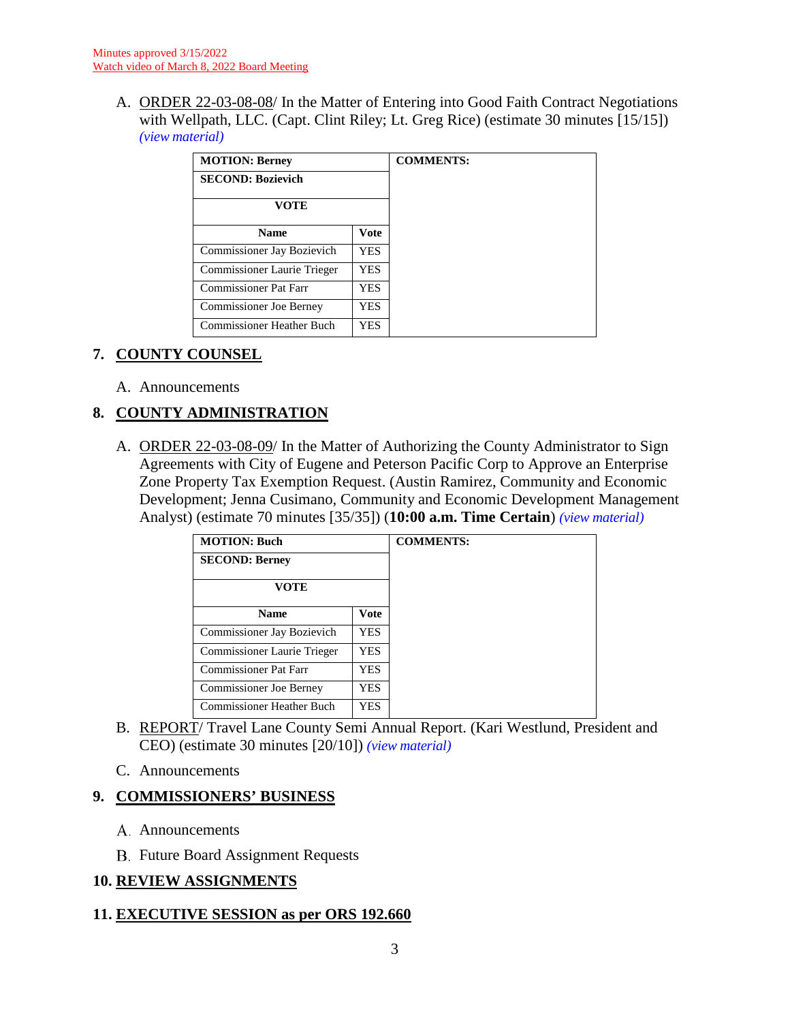A. ORDER 22-03-08-08/ In the Matter of Entering into Good Faith Contract Negotiations with Wellpath, LLC. (Capt. Clint Riley; Lt. Greg Rice) (estimate 30 minutes [15/15]) *(view [material\)](http://www.lanecountyor.gov/UserFiles/Servers/Server_3585797/File/Government/BCC/2022/2022_AGENDAS/030822agenda/T.6.A.pdf)*

| <b>MOTION: Berney</b>          |             | <b>COMMENTS:</b> |
|--------------------------------|-------------|------------------|
| <b>SECOND: Bozievich</b>       |             |                  |
| <b>VOTE</b>                    |             |                  |
| <b>Name</b>                    | <b>Vote</b> |                  |
| Commissioner Jay Bozievich     | YES.        |                  |
| Commissioner Laurie Trieger    | YES.        |                  |
| Commissioner Pat Farr          | YES.        |                  |
| <b>Commissioner Joe Berney</b> | YES.        |                  |
| Commissioner Heather Buch      | YES.        |                  |

## **7. COUNTY COUNSEL**

A. Announcements

# **8. COUNTY ADMINISTRATION**

A. ORDER 22-03-08-09/ In the Matter of Authorizing the County Administrator to Sign Agreements with City of Eugene and Peterson Pacific Corp to Approve an Enterprise Zone Property Tax Exemption Request. (Austin Ramirez, Community and Economic Development; Jenna Cusimano, Community and Economic Development Management Analyst) (estimate 70 minutes [35/35]) (**10:00 a.m. Time Certain**) *(view [material\)](http://www.lanecountyor.gov/UserFiles/Servers/Server_3585797/File/Government/BCC/2022/2022_AGENDAS/030822agenda/T.8.A.pdf)*

| <b>MOTION: Buch</b> |  |
|---------------------|--|
|                     |  |
|                     |  |
| <b>Vote</b>         |  |
| <b>YES</b>          |  |
| YES.                |  |
| <b>YES</b>          |  |
| YES                 |  |
| <b>YES</b>          |  |
|                     |  |

- B. REPORT/ Travel Lane County Semi Annual Report. (Kari Westlund, President and CEO) (estimate 30 minutes [20/10]) *(view [material\)](http://www.lanecountyor.gov/UserFiles/Servers/Server_3585797/File/Government/BCC/2022/2022_AGENDAS/030822agenda/T.8.B.pdf)*
- C. Announcements

# **9. COMMISSIONERS' BUSINESS**

- A. Announcements
- **B.** Future Board Assignment Requests

# **10. REVIEW ASSIGNMENTS**

## **11. EXECUTIVE SESSION as per ORS 192.660**